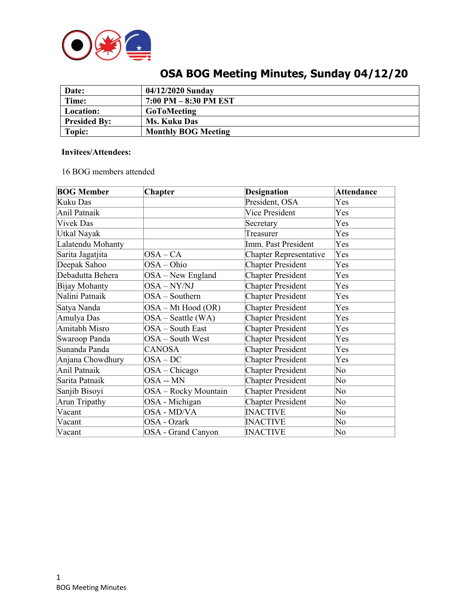

| Date:               | 04/12/2020 Sunday          |
|---------------------|----------------------------|
| Time:               | $7:00$ PM $-8:30$ PM EST   |
| Location:           | <b>GoToMeeting</b>         |
| <b>Presided By:</b> | <b>Ms. Kuku Das</b>        |
| Topic:              | <b>Monthly BOG Meeting</b> |

# **OSA BOG Meeting Minutes, Sunday 04/12/20**

### **Invitees/Attendees:**

16 BOG members attended

| <b>BOG Member</b> | <b>Chapter</b>       | <b>Designation</b>            | <b>Attendance</b>      |
|-------------------|----------------------|-------------------------------|------------------------|
| Kuku Das          |                      | President, OSA                | Yes                    |
| Anil Patnaik      |                      | Vice President                | Yes                    |
| <b>Vivek Das</b>  |                      | Secretary                     | Yes                    |
| Utkal Nayak       |                      | Treasurer                     | Yes                    |
| Lalatendu Mohanty |                      | Imm. Past President           | Yes                    |
| Sarita Jagatjita  | $OSA-CA$             | <b>Chapter Representative</b> | Yes                    |
| Deepak Sahoo      | OSA-Ohio             | <b>Chapter President</b>      | Yes                    |
| Debadutta Behera  | $OSA - New England$  | <b>Chapter President</b>      | Yes                    |
| Bijay Mohanty     | OSA-NY/NJ            | <b>Chapter President</b>      | Yes                    |
| Nalini Patnaik    | OSA - Southern       | <b>Chapter President</b>      | Yes                    |
| Satya Nanda       | OSA - Mt Hood (OR)   | <b>Chapter President</b>      | Yes                    |
| Amulya Das        | $OSA - Seattle (WA)$ | <b>Chapter President</b>      | Yes                    |
| Amitabh Misro     | OSA - South East     | <b>Chapter President</b>      | Yes                    |
| Swaroop Panda     | OSA - South West     | <b>Chapter President</b>      | Yes                    |
| Sunanda Panda     | <b>CANOSA</b>        | <b>Chapter President</b>      | Yes                    |
| Anjana Chowdhury  | $OSA-DC$             | <b>Chapter President</b>      | Yes                    |
| Anil Patnaik      | $OSA - Chicago$      | <b>Chapter President</b>      | No                     |
| Sarita Patnaik    | OSA -- MN            | <b>Chapter President</b>      | No                     |
| Sanjib Bisoyi     | OSA - Rocky Mountain | <b>Chapter President</b>      | No                     |
| Arun Tripathy     | OSA - Michigan       | <b>Chapter President</b>      | $\overline{\text{No}}$ |
| Vacant            | OSA - MD/VA          | <b>INACTIVE</b>               | No                     |
| Vacant            | OSA - Ozark          | <b>INACTIVE</b>               | $\overline{\text{No}}$ |
| Vacant            | OSA - Grand Canyon   | <b>INACTIVE</b>               | No                     |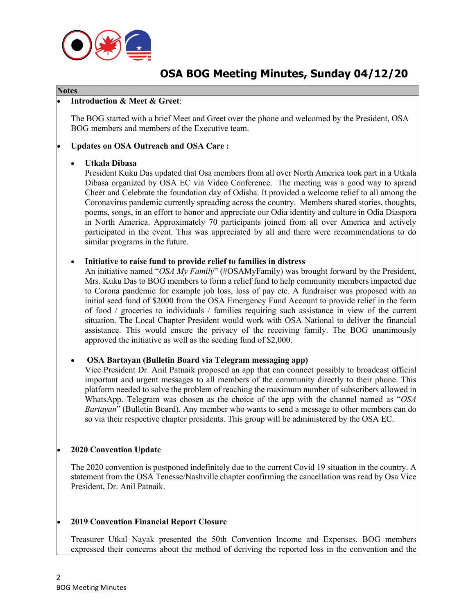

## **OSA BOG Meeting Minutes, Sunday 04/12/20**

#### **Notes**

#### • **Introduction & Meet & Greet**:

The BOG started with a brief Meet and Greet over the phone and welcomed by the President, OSA BOG members and members of the Executive team.

#### • **Updates on OSA Outreach and OSA Care :**

#### • **Utkala Dibasa**

President Kuku Das updated that Osa members from all over North America took part in a Utkala Dibasa organized by OSA EC via Video Conference. The meeting was a good way to spread Cheer and Celebrate the foundation day of Odisha. It provided a welcome relief to all among the Coronavirus pandemic currently spreading across the country. Members shared stories, thoughts, poems, songs, in an effort to honor and appreciate our Odia identity and culture in Odia Diaspora in North America. Approximately 70 participants joined from all over America and actively participated in the event. This was appreciated by all and there were recommendations to do similar programs in the future.

#### • **Initiative to raise fund to provide relief to families in distress**

An initiative named "*OSA My Family*" (#OSAMyFamily) was brought forward by the President, Mrs. Kuku Das to BOG members to form a relief fund to help community members impacted due to Corona pandemic for example job loss, loss of pay etc. A fundraiser was proposed with an initial seed fund of \$2000 from the OSA Emergency Fund Account to provide relief in the form of food / groceries to individuals / families requiring such assistance in view of the current situation. The Local Chapter President would work with OSA National to deliver the financial assistance. This would ensure the privacy of the receiving family. The BOG unanimously approved the initiative as well as the seeding fund of \$2,000.

#### • **OSA Bartayan (Bulletin Board via Telegram messaging app)**

Vice President Dr. Anil Patnaik proposed an app that can connect possibly to broadcast official important and urgent messages to all members of the community directly to their phone. This platform needed to solve the problem of reaching the maximum number of subscribers allowed in WhatsApp. Telegram was chosen as the choice of the app with the channel named as "*OSA Bartayan*" (Bulletin Board). Any member who wants to send a message to other members can do so via their respective chapter presidents. This group will be administered by the OSA EC.

#### • **2020 Convention Update**

The 2020 convention is postponed indefinitely due to the current Covid 19 situation in the country. A statement from the OSA Tenesse/Nashville chapter confirming the cancellation was read by Osa Vice President, Dr. Anil Patnaik.

#### • **2019 Convention Financial Report Closure**

Treasurer Utkal Nayak presented the 50th Convention Income and Expenses. BOG members expressed their concerns about the method of deriving the reported loss in the convention and the